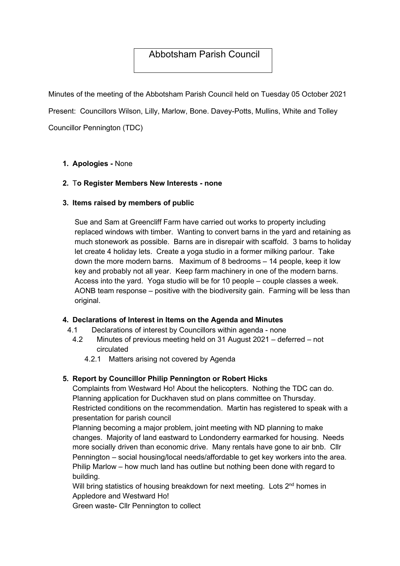## Abbotsham Parish Council

Minutes of the meeting of the Abbotsham Parish Council held on Tuesday 05 October 2021 Present: Councillors Wilson, Lilly, Marlow, Bone. Davey-Potts, Mullins, White and Tolley Councillor Pennington (TDC)

## 1. Apologies - None

#### 2. To Register Members New Interests - none

#### 3. Items raised by members of public

Sue and Sam at Greencliff Farm have carried out works to property including replaced windows with timber. Wanting to convert barns in the yard and retaining as much stonework as possible. Barns are in disrepair with scaffold. 3 barns to holiday let create 4 holiday lets. Create a yoga studio in a former milking parlour. Take down the more modern barns. Maximum of 8 bedrooms – 14 people, keep it low key and probably not all year. Keep farm machinery in one of the modern barns. Access into the yard. Yoga studio will be for 10 people – couple classes a week. AONB team response – positive with the biodiversity gain. Farming will be less than original.

#### 4. Declarations of Interest in Items on the Agenda and Minutes

- 4.1 Declarations of interest by Councillors within agenda none
	- 4.2 Minutes of previous meeting held on 31 August 2021 deferred not circulated
		- 4.2.1 Matters arising not covered by Agenda

## 5. Report by Councillor Philip Pennington or Robert Hicks

Complaints from Westward Ho! About the helicopters. Nothing the TDC can do. Planning application for Duckhaven stud on plans committee on Thursday. Restricted conditions on the recommendation. Martin has registered to speak with a presentation for parish council

Planning becoming a major problem, joint meeting with ND planning to make changes. Majority of land eastward to Londonderry earmarked for housing. Needs more socially driven than economic drive. Many rentals have gone to air bnb. Cllr Pennington – social housing/local needs/affordable to get key workers into the area. Philip Marlow – how much land has outline but nothing been done with regard to building.

Will bring statistics of housing breakdown for next meeting. Lots 2<sup>nd</sup> homes in Appledore and Westward Ho!

Green waste- Cllr Pennington to collect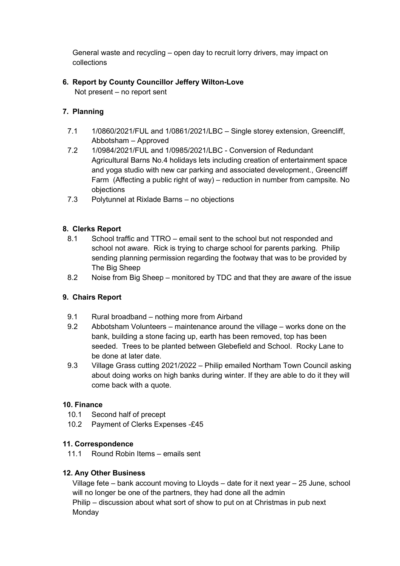General waste and recycling – open day to recruit lorry drivers, may impact on collections

# 6. Report by County Councillor Jeffery Wilton-Love

Not present – no report sent

## 7. Planning

- 7.1 1/0860/2021/FUL and 1/0861/2021/LBC Single storey extension, Greencliff, Abbotsham – Approved
- 7.2 1/0984/2021/FUL and 1/0985/2021/LBC Conversion of Redundant Agricultural Barns No.4 holidays lets including creation of entertainment space and yoga studio with new car parking and associated development., Greencliff Farm (Affecting a public right of way) – reduction in number from campsite. No objections
- 7.3 Polytunnel at Rixlade Barns no objections

## 8. Clerks Report

- 8.1 School traffic and TTRO email sent to the school but not responded and school not aware. Rick is trying to charge school for parents parking. Philip sending planning permission regarding the footway that was to be provided by The Big Sheep
- 8.2 Noise from Big Sheep monitored by TDC and that they are aware of the issue

## 9. Chairs Report

- 9.1 Rural broadband nothing more from Airband
- 9.2 Abbotsham Volunteers maintenance around the village works done on the bank, building a stone facing up, earth has been removed, top has been seeded. Trees to be planted between Glebefield and School. Rocky Lane to be done at later date.
- 9.3 Village Grass cutting 2021/2022 Philip emailed Northam Town Council asking about doing works on high banks during winter. If they are able to do it they will come back with a quote.

## 10. Finance

- 10.1 Second half of precept
- 10.2 Payment of Clerks Expenses -£45

## 11. Correspondence

11.1 Round Robin Items – emails sent

## 12. Any Other Business

Village fete – bank account moving to Lloyds – date for it next year – 25 June, school will no longer be one of the partners, they had done all the admin Philip – discussion about what sort of show to put on at Christmas in pub next Monday